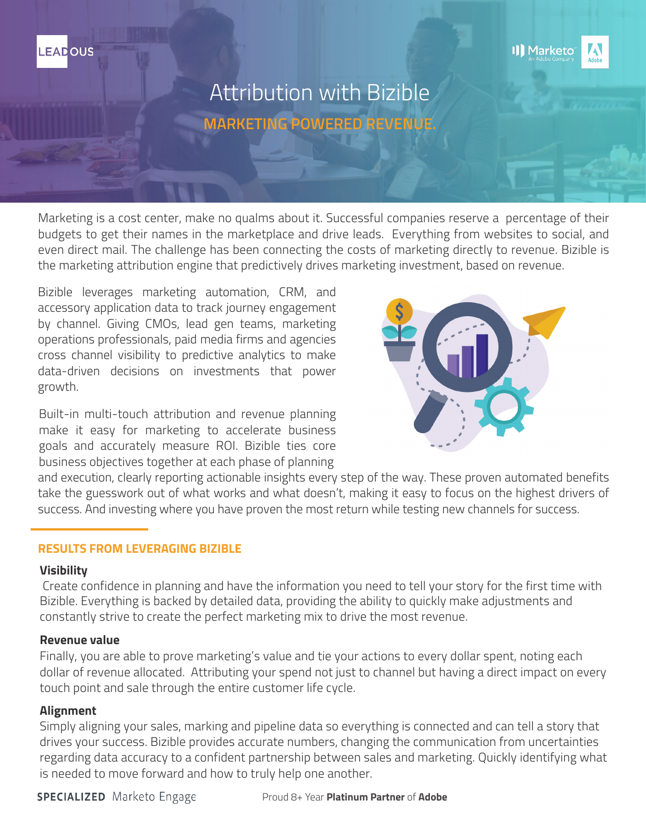

# Attribution with Bizible **MARKETING POWERED REVENUE.**

Marketing is a cost center, make no qualms about it. Successful companies reserve a percentage of their budgets to get their names in the marketplace and drive leads. Everything from websites to social, and even direct mail. The challenge has been connecting the costs of marketing directly to revenue. Bizible is the marketing attribution engine that predictively drives marketing investment, based on revenue.

Bizible leverages marketing automation, CRM, and accessory application data to track journey engagement by channel. Giving CMOs, lead gen teams, marketing operations professionals, paid media firms and agencies cross channel visibility to predictive analytics to make data-driven decisions on investments that power growth.

Built-in multi-touch attribution and revenue planning make it easy for marketing to accelerate business goals and accurately measure ROI. Bizible ties core business objectives together at each phase of planning



and execution, clearly reporting actionable insights every step of the way. These proven automated benefits take the guesswork out of what works and what doesn't, making it easy to focus on the highest drivers of success. And investing where you have proven the most return while testing new channels for success.

## **RESULTS FROM LEVERAGING BIZIBLE**

## **Visibility**

**LEADOUS** 

 Create confidence in planning and have the information you need to tell your story for the first time with Bizible. Everything is backed by detailed data, providing the ability to quickly make adjustments and constantly strive to create the perfect marketing mix to drive the most revenue.

## **Revenue value**

Finally, you are able to prove marketing's value and tie your actions to every dollar spent, noting each dollar of revenue allocated. Attributing your spend not just to channel but having a direct impact on every touch point and sale through the entire customer life cycle.

## **Alignment**

Simply aligning your sales, marking and pipeline data so everything is connected and can tell a story that drives your success. Bizible provides accurate numbers, changing the communication from uncertainties regarding data accuracy to a confident partnership between sales and marketing. Quickly identifying what is needed to move forward and how to truly help one another.

**SPECIALIZED** Marketo Engage